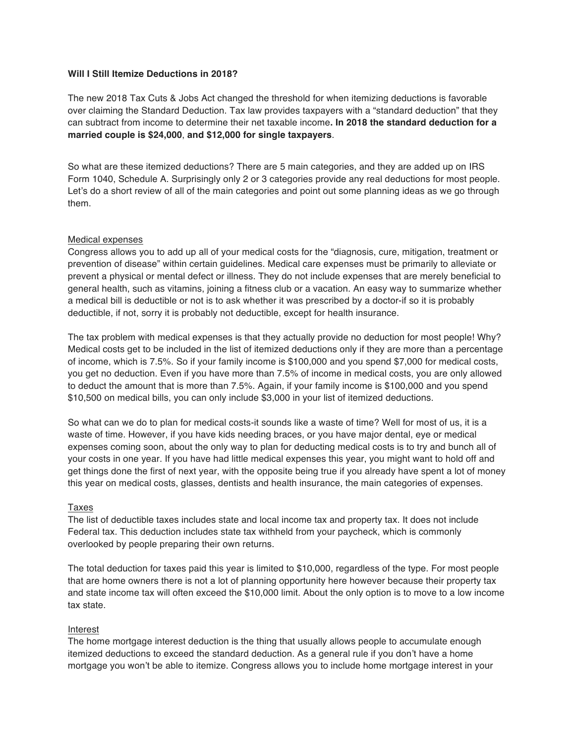#### **Will I Still Itemize Deductions in 2018?**

The new 2018 Tax Cuts & Jobs Act changed the threshold for when itemizing deductions is favorable over claiming the Standard Deduction. Tax law provides taxpayers with a "standard deduction" that they can subtract from income to determine their net taxable income**. In 2018 the standard deduction for a married couple is \$24,000**, **and \$12,000 for single taxpayers**.

So what are these itemized deductions? There are 5 main categories, and they are added up on IRS Form 1040, Schedule A. Surprisingly only 2 or 3 categories provide any real deductions for most people. Let's do a short review of all of the main categories and point out some planning ideas as we go through them.

### Medical expenses

Congress allows you to add up all of your medical costs for the "diagnosis, cure, mitigation, treatment or prevention of disease" within certain guidelines. Medical care expenses must be primarily to alleviate or prevent a physical or mental defect or illness. They do not include expenses that are merely beneficial to general health, such as vitamins, joining a fitness club or a vacation. An easy way to summarize whether a medical bill is deductible or not is to ask whether it was prescribed by a doctor-if so it is probably deductible, if not, sorry it is probably not deductible, except for health insurance.

The tax problem with medical expenses is that they actually provide no deduction for most people! Why? Medical costs get to be included in the list of itemized deductions only if they are more than a percentage of income, which is 7.5%. So if your family income is \$100,000 and you spend \$7,000 for medical costs, you get no deduction. Even if you have more than 7.5% of income in medical costs, you are only allowed to deduct the amount that is more than 7.5%. Again, if your family income is \$100,000 and you spend \$10,500 on medical bills, you can only include \$3,000 in your list of itemized deductions.

So what can we do to plan for medical costs-it sounds like a waste of time? Well for most of us, it is a waste of time. However, if you have kids needing braces, or you have major dental, eye or medical expenses coming soon, about the only way to plan for deducting medical costs is to try and bunch all of your costs in one year. If you have had little medical expenses this year, you might want to hold off and get things done the first of next year, with the opposite being true if you already have spent a lot of money this year on medical costs, glasses, dentists and health insurance, the main categories of expenses.

### Taxes

The list of deductible taxes includes state and local income tax and property tax. It does not include Federal tax. This deduction includes state tax withheld from your paycheck, which is commonly overlooked by people preparing their own returns.

The total deduction for taxes paid this year is limited to \$10,000, regardless of the type. For most people that are home owners there is not a lot of planning opportunity here however because their property tax and state income tax will often exceed the \$10,000 limit. About the only option is to move to a low income tax state.

# Interest

The home mortgage interest deduction is the thing that usually allows people to accumulate enough itemized deductions to exceed the standard deduction. As a general rule if you don't have a home mortgage you won't be able to itemize. Congress allows you to include home mortgage interest in your